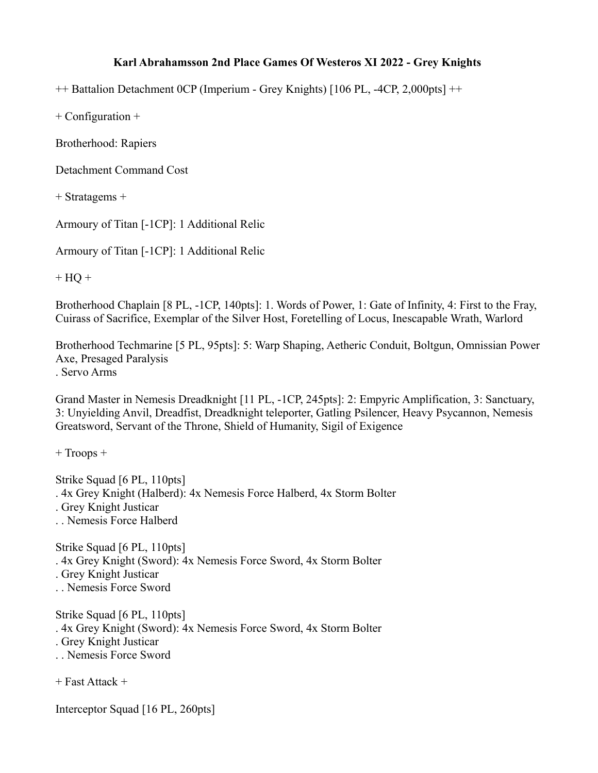## **Karl Abrahamsson 2nd Place Games Of Westeros XI 2022 - Grey Knights**

++ Battalion Detachment 0CP (Imperium - Grey Knights) [106 PL, -4CP, 2,000pts] ++

+ Configuration +

Brotherhood: Rapiers

Detachment Command Cost

+ Stratagems +

Armoury of Titan [-1CP]: 1 Additional Relic

Armoury of Titan [-1CP]: 1 Additional Relic

 $+ HO +$ 

Brotherhood Chaplain [8 PL, -1CP, 140pts]: 1. Words of Power, 1: Gate of Infinity, 4: First to the Fray, Cuirass of Sacrifice, Exemplar of the Silver Host, Foretelling of Locus, Inescapable Wrath, Warlord

Brotherhood Techmarine [5 PL, 95pts]: 5: Warp Shaping, Aetheric Conduit, Boltgun, Omnissian Power Axe, Presaged Paralysis . Servo Arms

Grand Master in Nemesis Dreadknight [11 PL, -1CP, 245pts]: 2: Empyric Amplification, 3: Sanctuary, 3: Unyielding Anvil, Dreadfist, Dreadknight teleporter, Gatling Psilencer, Heavy Psycannon, Nemesis Greatsword, Servant of the Throne, Shield of Humanity, Sigil of Exigence

+ Troops +

Strike Squad [6 PL, 110pts] . 4x Grey Knight (Halberd): 4x Nemesis Force Halberd, 4x Storm Bolter . Grey Knight Justicar . . Nemesis Force Halberd

Strike Squad [6 PL, 110pts] . 4x Grey Knight (Sword): 4x Nemesis Force Sword, 4x Storm Bolter . Grey Knight Justicar . . Nemesis Force Sword

Strike Squad [6 PL, 110pts] . 4x Grey Knight (Sword): 4x Nemesis Force Sword, 4x Storm Bolter . Grey Knight Justicar . . Nemesis Force Sword

+ Fast Attack +

Interceptor Squad [16 PL, 260pts]